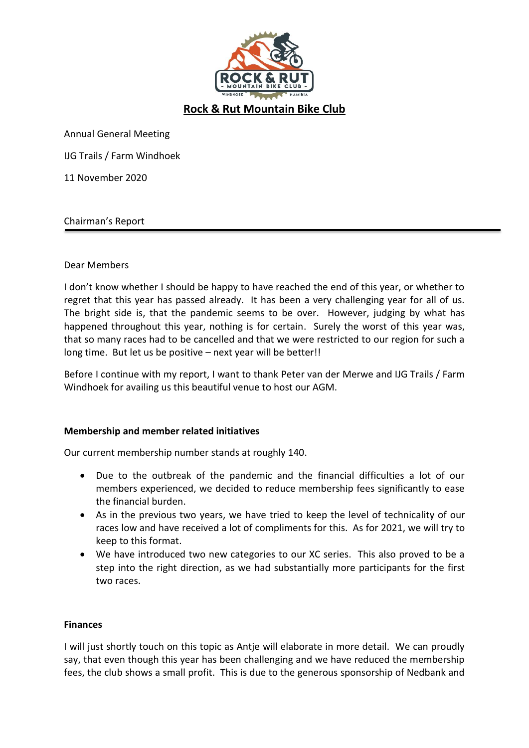

# **Rock & Rut Mountain Bike Club**

Annual General Meeting

IJG Trails / Farm Windhoek

11 November 2020

#### Chairman's Report

## Dear Members

I don't know whether I should be happy to have reached the end of this year, or whether to regret that this year has passed already. It has been a very challenging year for all of us. The bright side is, that the pandemic seems to be over. However, judging by what has happened throughout this year, nothing is for certain. Surely the worst of this year was, that so many races had to be cancelled and that we were restricted to our region for such a long time. But let us be positive – next year will be better!!

Before I continue with my report, I want to thank Peter van der Merwe and IJG Trails / Farm Windhoek for availing us this beautiful venue to host our AGM.

#### **Membership and member related initiatives**

Our current membership number stands at roughly 140.

- Due to the outbreak of the pandemic and the financial difficulties a lot of our members experienced, we decided to reduce membership fees significantly to ease the financial burden.
- As in the previous two years, we have tried to keep the level of technicality of our races low and have received a lot of compliments for this. As for 2021, we will try to keep to this format.
- We have introduced two new categories to our XC series. This also proved to be a step into the right direction, as we had substantially more participants for the first two races.

#### **Finances**

I will just shortly touch on this topic as Antje will elaborate in more detail. We can proudly say, that even though this year has been challenging and we have reduced the membership fees, the club shows a small profit. This is due to the generous sponsorship of Nedbank and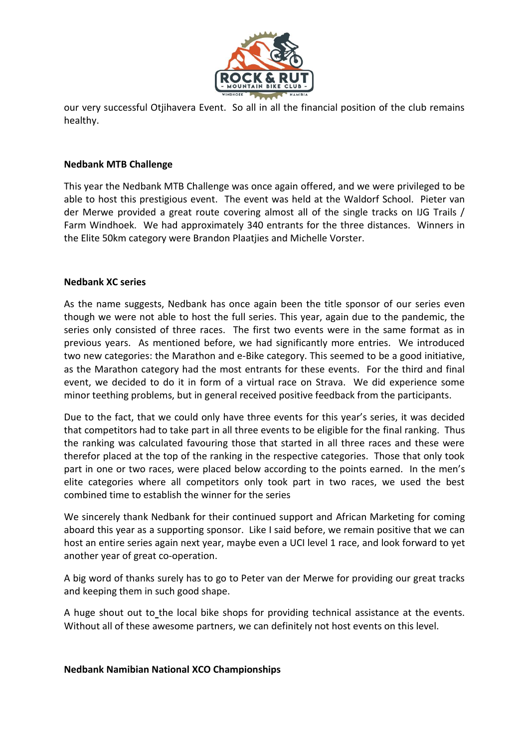

our very successful Otjihavera Event. So all in all the financial position of the club remains healthy.

## **Nedbank MTB Challenge**

This year the Nedbank MTB Challenge was once again offered, and we were privileged to be able to host this prestigious event. The event was held at the Waldorf School. Pieter van der Merwe provided a great route covering almost all of the single tracks on IJG Trails / Farm Windhoek. We had approximately 340 entrants for the three distances. Winners in the Elite 50km category were Brandon Plaatjies and Michelle Vorster.

#### **Nedbank XC series**

As the name suggests, Nedbank has once again been the title sponsor of our series even though we were not able to host the full series. This year, again due to the pandemic, the series only consisted of three races. The first two events were in the same format as in previous years. As mentioned before, we had significantly more entries. We introduced two new categories: the Marathon and e-Bike category. This seemed to be a good initiative, as the Marathon category had the most entrants for these events. For the third and final event, we decided to do it in form of a virtual race on Strava. We did experience some minor teething problems, but in general received positive feedback from the participants.

Due to the fact, that we could only have three events for this year's series, it was decided that competitors had to take part in all three events to be eligible for the final ranking. Thus the ranking was calculated favouring those that started in all three races and these were therefor placed at the top of the ranking in the respective categories. Those that only took part in one or two races, were placed below according to the points earned. In the men's elite categories where all competitors only took part in two races, we used the best combined time to establish the winner for the series

We sincerely thank Nedbank for their continued support and African Marketing for coming aboard this year as a supporting sponsor. Like I said before, we remain positive that we can host an entire series again next year, maybe even a UCI level 1 race, and look forward to yet another year of great co-operation.

A big word of thanks surely has to go to Peter van der Merwe for providing our great tracks and keeping them in such good shape.

A huge shout out to the local bike shops for providing technical assistance at the events. Without all of these awesome partners, we can definitely not host events on this level.

#### **Nedbank Namibian National XCO Championships**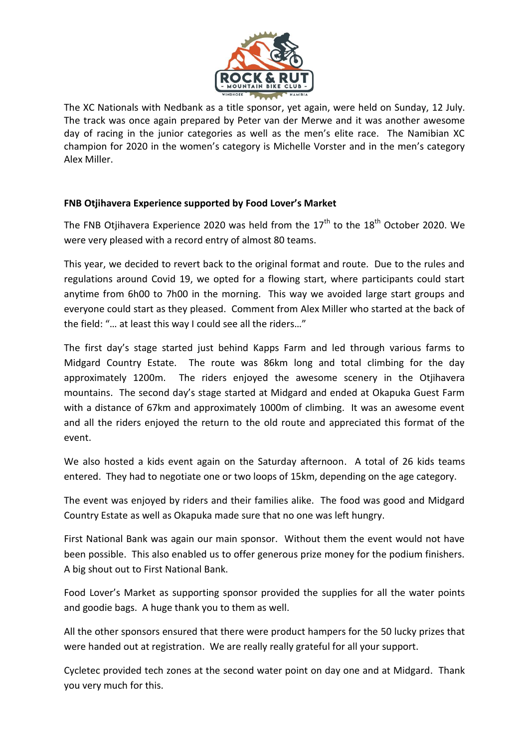

The XC Nationals with Nedbank as a title sponsor, yet again, were held on Sunday, 12 July. The track was once again prepared by Peter van der Merwe and it was another awesome day of racing in the junior categories as well as the men's elite race. The Namibian XC champion for 2020 in the women's category is Michelle Vorster and in the men's category Alex Miller.

## **FNB Otjihavera Experience supported by Food Lover's Market**

The FNB Otiihavera Experience 2020 was held from the  $17<sup>th</sup>$  to the  $18<sup>th</sup>$  October 2020. We were very pleased with a record entry of almost 80 teams.

This year, we decided to revert back to the original format and route. Due to the rules and regulations around Covid 19, we opted for a flowing start, where participants could start anytime from 6h00 to 7h00 in the morning. This way we avoided large start groups and everyone could start as they pleased. Comment from Alex Miller who started at the back of the field: "… at least this way I could see all the riders…"

The first day's stage started just behind Kapps Farm and led through various farms to Midgard Country Estate. The route was 86km long and total climbing for the day approximately 1200m. The riders enjoyed the awesome scenery in the Otjihavera mountains. The second day's stage started at Midgard and ended at Okapuka Guest Farm with a distance of 67km and approximately 1000m of climbing. It was an awesome event and all the riders enjoyed the return to the old route and appreciated this format of the event.

We also hosted a kids event again on the Saturday afternoon. A total of 26 kids teams entered. They had to negotiate one or two loops of 15km, depending on the age category.

The event was enjoyed by riders and their families alike. The food was good and Midgard Country Estate as well as Okapuka made sure that no one was left hungry.

First National Bank was again our main sponsor. Without them the event would not have been possible. This also enabled us to offer generous prize money for the podium finishers. A big shout out to First National Bank.

Food Lover's Market as supporting sponsor provided the supplies for all the water points and goodie bags. A huge thank you to them as well.

All the other sponsors ensured that there were product hampers for the 50 lucky prizes that were handed out at registration. We are really really grateful for all your support.

Cycletec provided tech zones at the second water point on day one and at Midgard. Thank you very much for this.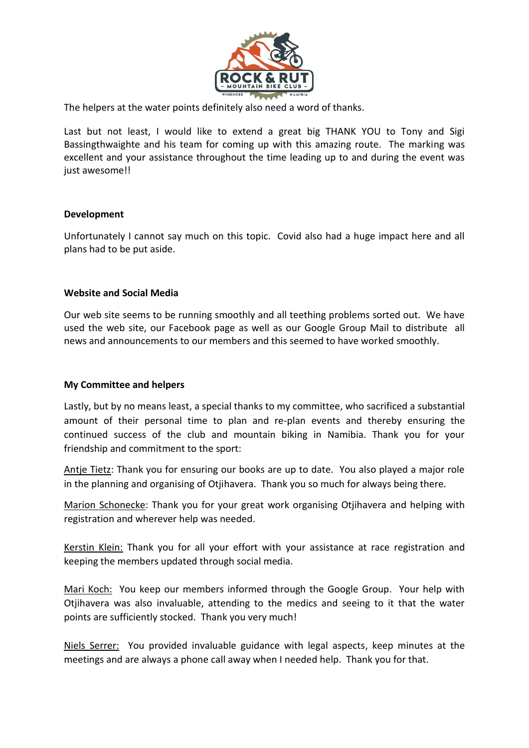

The helpers at the water points definitely also need a word of thanks.

Last but not least, I would like to extend a great big THANK YOU to Tony and Sigi Bassingthwaighte and his team for coming up with this amazing route. The marking was excellent and your assistance throughout the time leading up to and during the event was just awesome!!

## **Development**

Unfortunately I cannot say much on this topic. Covid also had a huge impact here and all plans had to be put aside.

## **Website and Social Media**

Our web site seems to be running smoothly and all teething problems sorted out. We have used the web site, our Facebook page as well as our Google Group Mail to distribute all news and announcements to our members and this seemed to have worked smoothly.

## **My Committee and helpers**

Lastly, but by no means least, a special thanks to my committee, who sacrificed a substantial amount of their personal time to plan and re-plan events and thereby ensuring the continued success of the club and mountain biking in Namibia. Thank you for your friendship and commitment to the sport:

Antje Tietz: Thank you for ensuring our books are up to date. You also played a major role in the planning and organising of Otjihavera. Thank you so much for always being there.

Marion Schonecke: Thank you for your great work organising Otjihavera and helping with registration and wherever help was needed.

Kerstin Klein: Thank you for all your effort with your assistance at race registration and keeping the members updated through social media.

Mari Koch: You keep our members informed through the Google Group. Your help with Otjihavera was also invaluable, attending to the medics and seeing to it that the water points are sufficiently stocked. Thank you very much!

Niels Serrer: You provided invaluable guidance with legal aspects, keep minutes at the meetings and are always a phone call away when I needed help. Thank you for that.